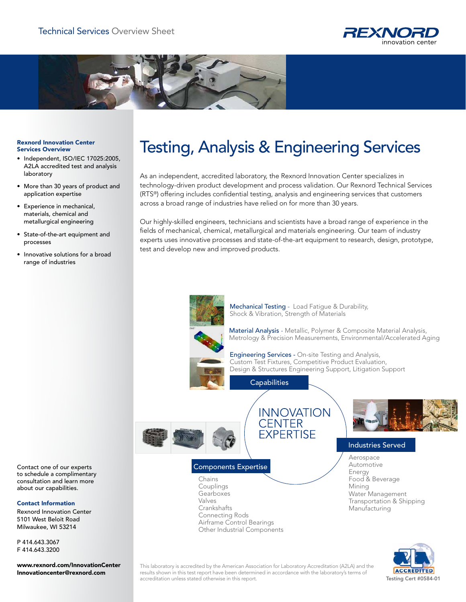



#### Rexnord Innovation Center Services Overview

- Independent, ISO/IEC 17025:2005, A2LA accredited test and analysis laboratory
- More than 30 years of product and application expertise
- Experience in mechanical, materials, chemical and metallurgical engineering
- State-of-the-art equipment and processes
- Innovative solutions for a broad range of industries

# Testing, Analysis & Engineering Services

As an independent, accredited laboratory, the Rexnord Innovation Center specializes in technology-driven product development and process validation. Our Rexnord Technical Services (RTS®) offering includes confidential testing, analysis and engineering services that customers across a broad range of industries have relied on for more than 30 years.

Our highly-skilled engineers, technicians and scientists have a broad range of experience in the fields of mechanical, chemical, metallurgical and materials engineering. Our team of industry experts uses innovative processes and state-of-the-art equipment to research, design, prototype, test and develop new and improved products.



Mechanical Testing - Load Fatigue & Durability, Shock & Vibration, Strength of Materials

**INNOVATION** 

**CENTER FXPERTISE** 

Material Analysis - Metallic, Polymer & Composite Material Analysis, Metrology & Precision Measurements, Environmental/Accelerated Aging



Engineering Services - On-site Testing and Analysis, Custom Test Fixtures, Competitive Product Evaluation, Design & Structures Engineering Support, Litigation Support

**Capabilities** 



## Components Expertise

Chains Couplings **Gearboxes** Valves **Crankshafts** Connecting Rods Airframe Control Bearings Other Industrial Components



## Industries Served

Aerospace Automotive Energy Food & Beverage Mining Water Management Transportation & Shipping Manufacturing



This laboratory is accredited by the American Association for Laboratory Accreditation (A2LA) and the results shown in this test report have been determined in accordance with the laboratory's terms of accreditation unless stated otherwise in this report. The contract of the contract of the contract of the contract of the contract of the contract of the contract of the contract of the contract of the contract of the cont

Contact one of our experts to schedule a complimentary consultation and learn more about our capabilities.

#### Contact Information

Rexnord Innovation Center 5101 West Beloit Road Milwaukee, WI 53214

P 414.643.3067 F 414.643.3200

www.rexnord.com/InnovationCenter Innovationcenter@rexnord.com